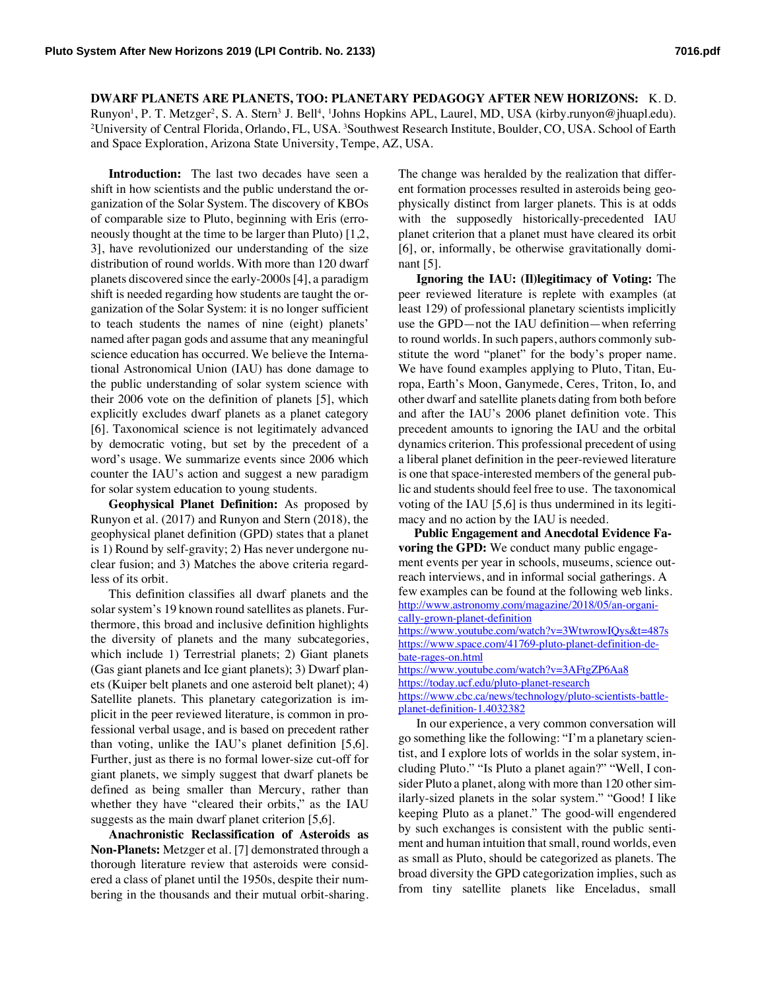**DWARF PLANETS ARE PLANETS, TOO: PLANETARY PEDAGOGY AFTER NEW HORIZONS:** K. D. Runyon<sup>1</sup>, P. T. Metzger<sup>2</sup>, S. A. Stern<sup>3</sup> J. Bell<sup>4</sup>, <sup>1</sup>Johns Hopkins APL, Laurel, MD, USA (kirby.runyon@jhuapl.edu). 2University of Central Florida, Orlando, FL, USA. 3Southwest Research Institute, Boulder, CO, USA. School of Earth and Space Exploration, Arizona State University, Tempe, AZ, USA.

**Introduction:** The last two decades have seen a shift in how scientists and the public understand the organization of the Solar System. The discovery of KBOs of comparable size to Pluto, beginning with Eris (erroneously thought at the time to be larger than Pluto) [1,2, 3], have revolutionized our understanding of the size distribution of round worlds. With more than 120 dwarf planets discovered since the early-2000s[4], a paradigm shift is needed regarding how students are taught the organization of the Solar System: it is no longer sufficient to teach students the names of nine (eight) planets' named after pagan gods and assume that any meaningful science education has occurred. We believe the International Astronomical Union (IAU) has done damage to the public understanding of solar system science with their 2006 vote on the definition of planets [5], which explicitly excludes dwarf planets as a planet category [6]. Taxonomical science is not legitimately advanced by democratic voting, but set by the precedent of a word's usage. We summarize events since 2006 which counter the IAU's action and suggest a new paradigm for solar system education to young students.

**Geophysical Planet Definition:** As proposed by Runyon et al. (2017) and Runyon and Stern (2018), the geophysical planet definition (GPD) states that a planet is 1) Round by self-gravity; 2) Has never undergone nuclear fusion; and 3) Matches the above criteria regardless of its orbit.

This definition classifies all dwarf planets and the solar system's 19 known round satellites as planets. Furthermore, this broad and inclusive definition highlights the diversity of planets and the many subcategories, which include 1) Terrestrial planets; 2) Giant planets (Gas giant planets and Ice giant planets); 3) Dwarf planets (Kuiper belt planets and one asteroid belt planet); 4) Satellite planets. This planetary categorization is implicit in the peer reviewed literature, is common in professional verbal usage, and is based on precedent rather than voting, unlike the IAU's planet definition [5,6]. Further, just as there is no formal lower-size cut-off for giant planets, we simply suggest that dwarf planets be defined as being smaller than Mercury, rather than whether they have "cleared their orbits," as the IAU suggests as the main dwarf planet criterion [5,6].

**Anachronistic Reclassification of Asteroids as Non-Planets:** Metzger et al. [7] demonstrated through a thorough literature review that asteroids were considered a class of planet until the 1950s, despite their numbering in the thousands and their mutual orbit-sharing.

The change was heralded by the realization that different formation processes resulted in asteroids being geophysically distinct from larger planets. This is at odds with the supposedly historically-precedented IAU planet criterion that a planet must have cleared its orbit [6], or, informally, be otherwise gravitationally dominant [5].

**Ignoring the IAU: (Il)legitimacy of Voting:** The peer reviewed literature is replete with examples (at least 129) of professional planetary scientists implicitly use the GPD—not the IAU definition—when referring to round worlds. In such papers, authors commonly substitute the word "planet" for the body's proper name. We have found examples applying to Pluto, Titan, Europa, Earth's Moon, Ganymede, Ceres, Triton, Io, and other dwarf and satellite planets dating from both before and after the IAU's 2006 planet definition vote. This precedent amounts to ignoring the IAU and the orbital dynamics criterion. This professional precedent of using a liberal planet definition in the peer-reviewed literature is one that space-interested members of the general public and students should feel free to use. The taxonomical voting of the IAU [5,6] is thus undermined in its legitimacy and no action by the IAU is needed.

 **Public Engagement and Anecdotal Evidence Favoring the GPD:** We conduct many public engagement events per year in schools, museums, science outreach interviews, and in informal social gatherings. A few examples can be found at the following web links. http://www.astronomy.com/magazine/2018/05/an-organically-grown-planet-definition https://www.youtube.com/watch?v=3WtwrowIQys&t=487s https://www.space.com/41769-pluto-planet-definition-debate-rages-on.html https://www.youtube.com/watch?v=3AFtgZP6Aa8 https://today.ucf.edu/pluto-planet-research https://www.cbc.ca/news/technology/pluto-scientists-battle-

planet-definition-1.4032382

In our experience, a very common conversation will go something like the following: "I'm a planetary scientist, and I explore lots of worlds in the solar system, including Pluto." "Is Pluto a planet again?" "Well, I consider Pluto a planet, along with more than 120 other similarly-sized planets in the solar system." "Good! I like keeping Pluto as a planet." The good-will engendered by such exchanges is consistent with the public sentiment and human intuition that small, round worlds, even as small as Pluto, should be categorized as planets. The broad diversity the GPD categorization implies, such as from tiny satellite planets like Enceladus, small